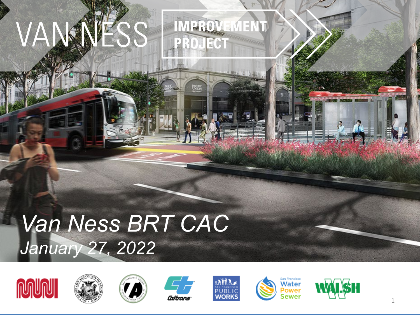#### VAN IMPROVEMENT VESS PROJECT

## *Van Ness BRT CAC January 27, 2022*









**NETR** 







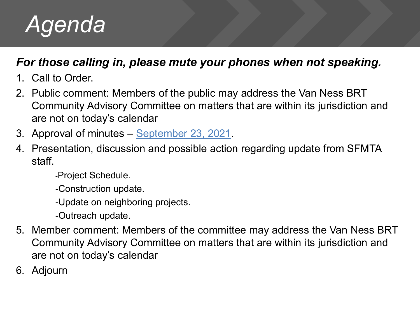

### *For those calling in, please mute your phones when not speaking.*

- 1. Call to Order.
- 2. Public comment: Members of the public may address the Van Ness BRT Community Advisory Committee on matters that are within its jurisdiction and are not on today's calendar
- 3. Approval of minutes [September 23, 2021](https://www.sfmta.com/sites/default/files/reports-and-documents/2021/09/cac_meeting_minutes_09.23.21.pdf).
- 4. Presentation, discussion and possible action regarding update from SFMTA staff.
	- -Project Schedule.
	- -Construction update.
	- -Update on neighboring projects.
	- -Outreach update.
- 5. Member comment: Members of the committee may address the Van Ness BRT Community Advisory Committee on matters that are within its jurisdiction and are not on today's calendar
- 6. Adjourn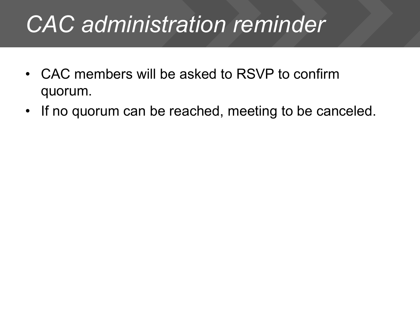### *CAC administration reminder*

- CAC members will be asked to RSVP to confirm quorum.
- If no quorum can be reached, meeting to be canceled.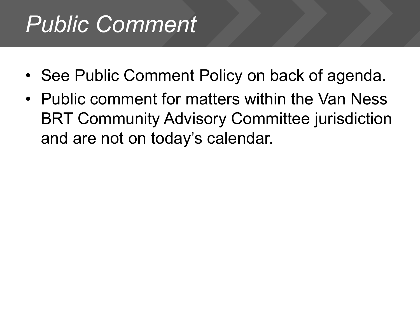## *Public Comment*

- See Public Comment Policy on back of agenda.
- Public comment for matters within the Van Ness BRT Community Advisory Committee jurisdiction and are not on today's calendar.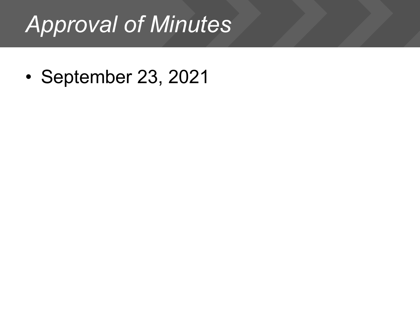### *Approval of Minutes*

• September 23, 2021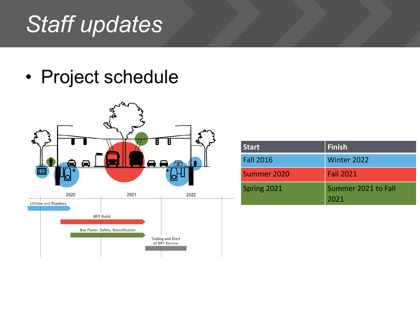### *Staff updates*

• Project schedule



| <b>Start</b>     | <b>Finish</b>               |
|------------------|-----------------------------|
| <b>Fall 2016</b> | Winter 2022                 |
| Summer 2020      | <b>Fall 2021</b>            |
| Spring 2021      | Summer 2021 to Fall<br>2021 |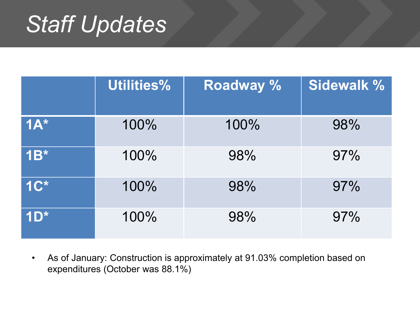### *Staff Updates*

|        | Utilities% | <b>Roadway %</b> | <b>Sidewalk %</b> |
|--------|------------|------------------|-------------------|
| $1A^*$ | 100%       | 100%             | 98%               |
| $1B^*$ | 100%       | 98%              | 97%               |
| $1C^*$ | 100%       | 98%              | 97%               |
| TDE    | 100%       | 98%              | 97%               |

• As of January: Construction is approximately at 91.03% completion based on expenditures (October was 88.1%)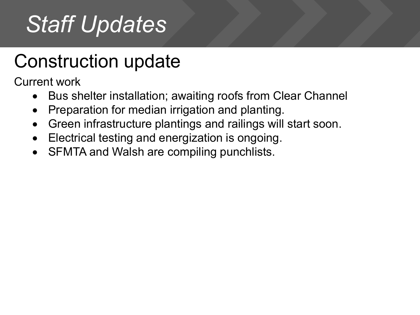## *Staff Updates*

### Construction update

Current work

- Bus shelter installation; awaiting roofs from Clear Channel
- Preparation for median irrigation and planting.
- Green infrastructure plantings and railings will start soon.
- Electrical testing and energization is ongoing.
- SFMTA and Walsh are compiling punchlists.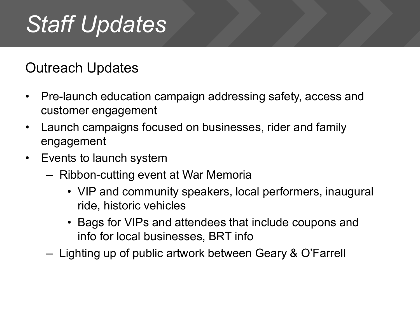### *Staff Updates*

### Outreach Updates

- Pre-launch education campaign addressing safety, access and customer engagement
- Launch campaigns focused on businesses, rider and family engagement
- Events to launch system
	- Ribbon-cutting event at War Memoria
		- VIP and community speakers, local performers, inaugural ride, historic vehicles
		- Bags for VIPs and attendees that include coupons and info for local businesses, BRT info
	- Lighting up of public artwork between Geary & O'Farrell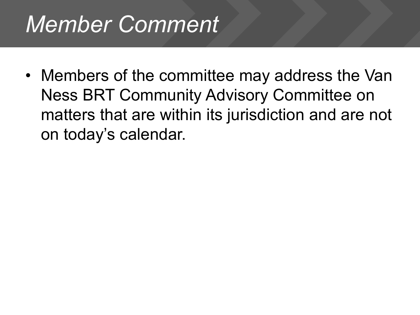### *Member Comment*

• Members of the committee may address the Van Ness BRT Community Advisory Committee on matters that are within its jurisdiction and are not on today's calendar.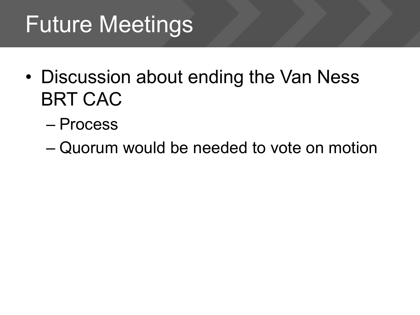## Future Meetings

- Discussion about ending the Van Ness BRT CAC
	- Process
	- Quorum would be needed to vote on motion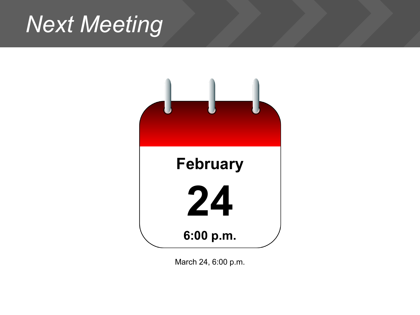### *Next Meeting*



March 24, 6:00 p.m.